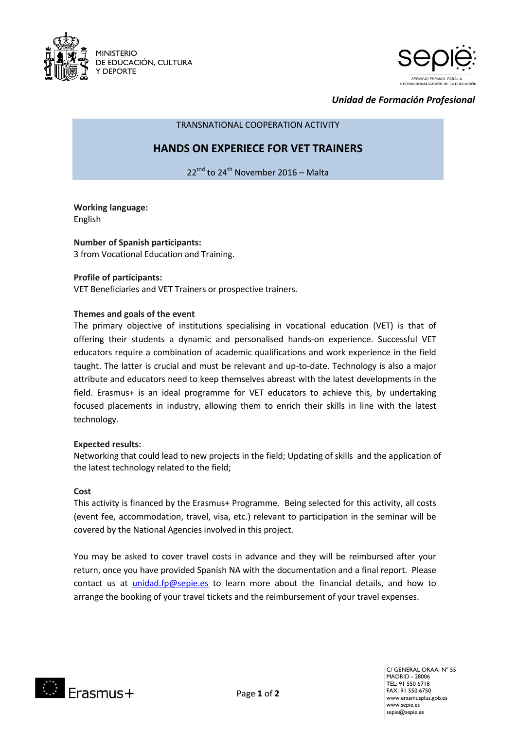



*Unidad de Formación Profesional*

TRANSNATIONAL COOPERATION ACTIVITY

## **HANDS ON EXPERIECE FOR VET TRAINERS**

22<sup>tnd</sup> to 24<sup>th</sup> November 2016 – Malta

**Working language:** English

**Number of Spanish participants:** 3 from Vocational Education and Training.

## **Profile of participants:**

VET Beneficiaries and VET Trainers or prospective trainers**.**

#### **Themes and goals of the event**

The primary objective of institutions specialising in vocational education (VET) is that of offering their students a dynamic and personalised hands-on experience. Successful VET educators require a combination of academic qualifications and work experience in the field taught. The latter is crucial and must be relevant and up-to-date. Technology is also a major attribute and educators need to keep themselves abreast with the latest developments in the field. Erasmus+ is an ideal programme for VET educators to achieve this, by undertaking focused placements in industry, allowing them to enrich their skills in line with the latest technology.

#### **Expected results:**

Networking that could lead to new projects in the field; Updating of skills and the application of the latest technology related to the field;

#### **Cost**

This activity is financed by the Erasmus+ Programme. Being selected for this activity, all costs (event fee, accommodation, travel, visa, etc.) relevant to participation in the seminar will be covered by the National Agencies involved in this project.

You may be asked to cover travel costs in advance and they will be reimbursed after your return, once you have provided Spanish NA with the documentation and a final report. Please contact us at [unidad.fp@sepie.es](mailto:unidad.fp@sepie.es) to learn more about the financial details, and how to arrange the booking of your travel tickets and the reimbursement of your travel expenses.



C/ GENERAL ORÁA, Nº 55 MADRID - 28006 TEL: 91 550 6718 FAX: 91 550 6750 www.erasmusplus.gob.es www.sepie.es sepie@sepie.es